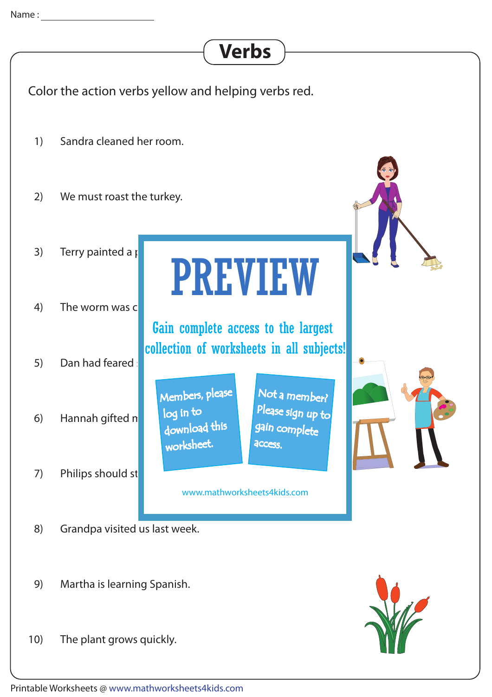